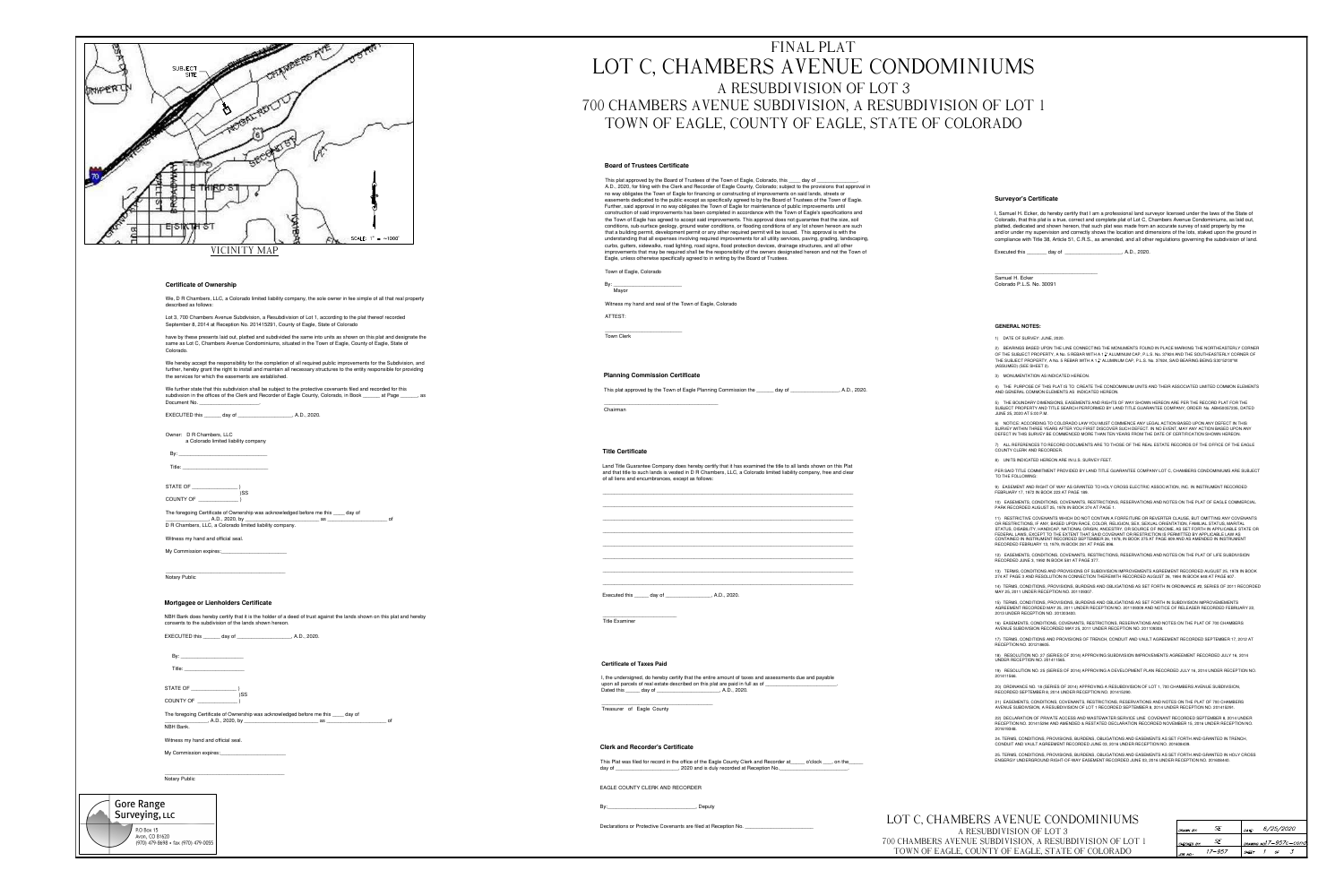|                             | <b>SUBJECT</b>                                                                                                                                                                               |
|-----------------------------|----------------------------------------------------------------------------------------------------------------------------------------------------------------------------------------------|
|                             | <b>SITE</b>                                                                                                                                                                                  |
|                             |                                                                                                                                                                                              |
|                             |                                                                                                                                                                                              |
|                             |                                                                                                                                                                                              |
|                             |                                                                                                                                                                                              |
|                             |                                                                                                                                                                                              |
|                             |                                                                                                                                                                                              |
|                             |                                                                                                                                                                                              |
|                             |                                                                                                                                                                                              |
|                             |                                                                                                                                                                                              |
|                             |                                                                                                                                                                                              |
|                             |                                                                                                                                                                                              |
|                             | SCALE: $1" = \sim 1000'$                                                                                                                                                                     |
|                             | INITY MAP                                                                                                                                                                                    |
|                             |                                                                                                                                                                                              |
|                             |                                                                                                                                                                                              |
|                             | <b>Certificate of Ownership</b>                                                                                                                                                              |
|                             | We, D R Chambers, LLC, a Colorado limited liability company, the sole owner in fee simple of all that real property                                                                          |
|                             | described as follows:                                                                                                                                                                        |
|                             | Lot 3, 700 Chambers Avenue Subdivision, a Resubdivision of Lot 1, according to the plat thereof recorded<br>September 8, 2014 at Reception No. 201415291, County of Eagle, State of Colorado |
|                             | have by these presents laid out, platted and subdivided the same into units as shown on this plat and designate the                                                                          |
|                             | same as Lot C, Chambers Avenue Condominiums, situated in the Town of Eagle, County of Eagle, State of<br>Colorado.                                                                           |
|                             | We hereby accept the responsibility for the completion of all required public improvements for the Subdivision, and                                                                          |
|                             | further, hereby grant the right to install and maintain all necessary structures to the entity responsible for providing<br>the services for which the easements are established.            |
|                             | We further state that this subdivision shall be subject to the protective covenants filed and recorded for this                                                                              |
|                             | subdivsion in the offices of the Clerk and Recorder of Eagle County, Colorado, in Book ______ at Page _____, as                                                                              |
|                             | EXECUTED this _______ day of ______________________, A.D., 2020.                                                                                                                             |
|                             |                                                                                                                                                                                              |
|                             | Owner: D R Chambers, LLC<br>a Colorado limited liability company                                                                                                                             |
|                             |                                                                                                                                                                                              |
|                             |                                                                                                                                                                                              |
|                             | STATE OF ___________________                                                                                                                                                                 |
|                             | )SS                                                                                                                                                                                          |
|                             | The foregoing Certificate of Ownership was acknowledged before me this ____ day of                                                                                                           |
|                             |                                                                                                                                                                                              |
|                             | Witness my hand and official seal.                                                                                                                                                           |
|                             | My Commission expires: My Commission expires:                                                                                                                                                |
|                             |                                                                                                                                                                                              |
|                             | Notary Public                                                                                                                                                                                |
|                             |                                                                                                                                                                                              |
|                             | <b>Mortgagee or Lienholders Certificate</b>                                                                                                                                                  |
|                             | NBH Bank does hereby certify that it is the holder of a deed of trust against the lands shown on this plat and hereby                                                                        |
|                             | consents to the subdivision of the lands shown hereon.                                                                                                                                       |
|                             | EXECUTED this _______ day of ______________________, A.D., 2020.                                                                                                                             |
|                             |                                                                                                                                                                                              |
|                             |                                                                                                                                                                                              |
|                             |                                                                                                                                                                                              |
|                             | STATE OF $\_\_\_\_\_\_\_\_\_\_$<br>)SS                                                                                                                                                       |
|                             | COUNTY OF                                                                                                                                                                                    |
|                             | The foregoing Certificate of Ownership was acknowledged before me this ____ day of                                                                                                           |
|                             | of<br>NBH Bank.                                                                                                                                                                              |
|                             | Witness my hand and official seal.                                                                                                                                                           |
|                             | My Commission expires:                                                                                                                                                                       |
|                             |                                                                                                                                                                                              |
|                             | <b>Notary Public</b>                                                                                                                                                                         |
|                             |                                                                                                                                                                                              |
| <b>Gore Range</b>           |                                                                                                                                                                                              |
| Surveying, LLC              |                                                                                                                                                                                              |
| P.O Box 15<br>Avon CO 81620 |                                                                                                                                                                                              |
|                             |                                                                                                                                                                                              |

970) 479-8698 · fax (970) 479-0055

## FINAL PLAT LOT C, CHAMBERS AVENUE CONDOMINIUMS A RESUBDIVISION OF LOT 3 700 CHAMBERS AVENUE SUBDIVISION, A RESUBDIVISION OF LOT 1 TOWN OF EAGLE, COUNTY OF EAGLE, STATE OF COLORADO

#### **Board of Trustees Certificate**

This plat approved by the Board of Trustees of the Town of Eagle, Colorado, this \_\_\_\_ day of \_\_\_ A.D., 2020, for filing with the Clerk and Recorder of Eagle County, Colorado; subject to the provisions that approval in no way obligates the Town of Eagle for financing or constructing of improvements on said lands, streets or easements dedicated to the public except as specifically agreed to by the Board of Trustees of the Town of Eagle. Further, said approval in no way obligates the Town of Eagle for maintenance of public improvements until construction of said improvements has been completed in accordance with the Town of Eagle's specifications and the Town of Eagle has agreed to accept said improvements. This approval does not guarantee that the size, soil conditions, sub-surface geology, ground water conditions, or flooding conditions of any lot shown hereon are such that a building permit, development permit or any other required permit will be issued. This approval is with the understanding that all expenses involving required improvements for all utility services, paving, grading, landscaping, curbs, gutters, sidewalks, road lighting, road signs, flood protection devices, drainage structures, and all other improvements that may be required shall be the responsibility of the owners designated hereon and not the Town of Eagle, unless otherwise specifically agreed to in writing by the Board of Trustees.

Town of Eagle, Colorado

Mayor

Witness my hand and seal of the Town of Eagle, Colorado

ATTEST:

Town Clerk

#### **Planning Commission Certificate**

This plat approved by the Town of Eagle Planning Commission the \_\_\_\_\_\_ day of , A.D., 2020.

Chairman

#### **Title Certificate**

Land Title Guarantee Company does hereby certify that it has examined the title to all lands shown on this Plat and that title to such lands is vested in D R Chambers, LLC, a Colorado limited liability company, free and clear of all liens and encumbrances, except as follows:

Executed this \_\_\_\_\_\_ day of \_

, A.D., 2020.

**Title Examiner** 

#### **Certificate of Taxes Paid**

I, the undersigned, do hereby certify that the entire amount of taxes and assessments due and payable upon all parcels of real estate described on this plat are paid in full as of Dated this \_\_\_\_\_\_ day of \_\_\_\_\_\_\_\_\_ \_\_, A.D., 2020.

Treasurer of Eagle County

#### **Clerk and Recorder's Certificate**

This Plat was filed for record in the office of the Eagle County Clerk and Recorder at \_\_\_\_ o'clock \_\_\_, on the ..., 2020 and is duly recorded at Reception No. day of

EAGLE COUNTY CLERK AND RECORDER

Deputy

Declarations or Protective Covenants are filed at Reception No.

#### **Surveyor's Certificate**

I, Samuel H. Ecker, do hereby certify that I am a professional land surveyor licensed under the laws of the State of Colorado, that this plat is a true, correct and complete plat of Lot C, Chambers Avenue Condominiums, as laid out, platted, dedicated and shown hereon, that such plat was made from an accurate survey of said property by me and/or under my supervision and correctly shows the location and dimensions of the lots, staked upon the ground in compliance with Title 38, Article 51, C.R.S., as amended, and all other regulations governing the subdivision of land.

Executed this \_\_\_\_\_\_\_\_ day of \_\_\_ , A.D., 2020.

Samuel H. Ecker Colorado P.L.S. No. 30091

#### **GENERAL NOTES:**

1) DATE OF SURVEY: JUNE, 2020.

2) BEARINGS BASED UPON THE LINE CONNECTING THE MONUMENTS FOUND IN PLACE MARKING THE NORTHEASTERLY CORNER OF THE SUBJECT PROPERTY, A No. 5 REBAR WITH A 1<sup>1</sup>/<sub>3</sub>" ALUMINUM CAP, P.L.S. No. 37924 AND THE SOUTHEASTERLY CORNER OF THE SUBJECT PROPERTY, A No. 5 REBAR WITH A 1 5" ALUMINUM CAP, P.L.S. No. 37924, SAID BEARING BEING S30°52'00"W (ASSUMED) (SEE SHEET 2).

3) MONUMENTATION AS INDICATED HEREON.

4) THE PURPOSE OF THIS PLAT IS TO CREATE THE CONDOMINIUM UNITS AND THEIR ASSOCIATED LIMITED COMMON ELEMENTS AND GENERAL COMMON ELEMENTS AS INDICATED HEREON.

5) THE BOUNDARY DIMENSIONS, EASEMENTS AND RIGHTS OF WAY SHOWN HEREON ARE PER THE RECORD PLAT FOR THE SUBJECT PROPERTY AND TITLE SEARCH PERFORMED BY LAND TITLE GUARANTEE COMPANY, ORDER No. ABH50057235, DATED JUNE 25, 2020 AT 5:00 P.M.

6) NOTICE: ACCORDING TO COLORADO LAW YOU MUST COMMENCE ANY LEGAL ACTION BASED UPON ANY DEFECT IN THIS SURVEY WITHIN THREE YEARS AFTER YOU FIRST DISCOVER SUCH DEFECT. IN NO EVENT, MAY ANY ACTION BASED UPON ANY DEFECT IN THIS SURVEY BE COMMENCED MORE THAN TEN YEARS FROM THE DATE OF CERTIFICATION SHOWN HEREON.

7) ALL REFERENCES TO RECORD DOCUMENTS ARE TO THOSE OF THE REAL ESTATE RECORDS OF THE OFFICE OF THE EAGLE COUNTY CLERK AND RECORDER.

8) UNITS INDICATED HEREON ARE IN U.S. SURVEY FEET.

PER SAID TITLE COMMITMENT PROVIDED BY LAND TITLE GUARANTEE COMPANY LOT C, CHAMBERS CONDOMINIUMS ARE SUBJECT TO THE FOLLOWING:

9) EASEMENT AND RIGHT OF WAY AS GRANTED TO HOLY CROSS ELECTRIC ASSOCIATION, INC. IN INSTRUMENT RECORDED FEBRUARY 17, 1972 IN BOOK 223 AT PAGE 189.

10) EASEMENTS, CONDITIONS, COVENANTS, RESTRICTIONS, RESERVATIONS AND NOTES ON THE PLAT OF EAGLE COMMERCIAL PARK RECORDED AUGUST 25, 1978 IN BOOK 274 AT PAGE 1.

11) RESTRICTIVE COVENANTS WHICH DO NOT CONTAIN A FORFEITURE OR REVERTER CLAUSE, BUT OMITTING ANY COVENANTS OR RESTRICTIONS, IF ANY, BASED UPON RACE, COLOR, RELIGION, SEX, SEXUAL ORIENTATION, FAMILIAL STATUS, MARITAL STATUS, DISABILITY, HANDICAP, NATIONAL ORIGIN, ANCESTRY, OR SOURCE OF INCOME, AS SET FORTH IN APPLICABLE STATE OR FEDERAL LAWS, EXCEPT TO THE EXTENT THAT SAID COVENANT OR RESTRICTION IS PERMITTED BY APPLICABLE LAW AS CONTAINED IN INSTRUMENT RECORDED SEPTEMBER 26, 1978, IN BOOK 275 AT PAGE 809 AND AS AMENDED IN INSTRUMENT RECORDED FEBRUARY 13, 1979, IN BOOK 281 AT PAGE 896.

12) EASEMENTS, CONDITIONS, COVENANTS, RESTRICTIONS, RESERVATIONS AND NOTES ON THE PLAT OF LIFE SUBDIVISION RECORDED JUNE 3, 1992 IN BOOK 581 AT PAGE 377.

13) TERMS, CONDITIONS AND PROVISIONS OF SUBDIVISION IMPROVEMENTS AGREEMENT RECORDED AUGUST 25, 1978 IN BOOK 274 AT PAGE 3 AND RESOLUTION IN CONNECTION THEREWITH RECORDED AUGUST 26, 1994 IN BOOK 648 AT PAGE 607.

14) TERMS, CONDITIONS, PROVISIONS, BURDENS AND OBLIGATIONS AS SET FORTH IN ORDINANCE #2, SERIES OF 2011 RECORDED MAY 25, 2011 UNDER RECEPTION NO. 201109307.

15) TERMS, CONDITIONS, PROVISIONS, BURDENS AND OBLIGATIONS AS SET FORTH IN SUBDIVISION IMPROVEMEMENTS AGREEMENT RECORDED MAY 25, 2011 UNDER RECEPTION NO. 201109309 AND NOTICE OF RELEASER RECORDED FEBRUARY 22, 2013 UNDER RECEPTION NO. 201303400.

16) EASEMENTS, CONDITIONS, COVENANTS, RESTRICTIONS, RESERVATIONS AND NOTES ON THE PLAT OF 700 CHAMBERS AVENUE SUBDIVISION RECORDED MAY 25, 2011 UNDER RECEPTION NO. 201109308.

17) TERMS, CONDITIONS AND PROVISIONS OF TRENCH, CONDUIT AND VAULT AGREEMENT RECORDED SEPTEMBER 17, 2012 AT RECEPTION NO. 201218605.

18) RESOLUTION NO. 27 (SERIES OF 2014) APPROVING SUBDIVISION IMPROVEMENTS AGREEMENT RECORDED JULY 16, 2014 UNDER RECEPTION NO. 201411565.

19) RESOLUTION NO. 25 (SERIES OF 2014) APPROVING A DEVELOPMENT PLAN RECORDED JULY 16, 2014 UNDER RECEPTION NO. 201411566.

20) ORDINANCE NO. 18 (SERIES OF 2014) APPROVING A RESUBDIVISION OF LOT 1, 700 CHAMBERS AVENUE SUBDIVISION, RECORDED SEPTEMBER 8, 2014 UNDER RECEPTION NO. 201415290.

21) EASEMENTS, CONDITIONS, COVENANTS, RESTRICTIONS, RESERVATIONS AND NOTES ON THE PLAT OF 700 CHAMBERS AVENUE SUBDIVISION, A RESUBDIVISION OF LOT 1 RECORDED SEPTEMBER 8, 2014 UNDER RECEPTION NO. 201415291.

22) DECLARATION OF PRIVATE ACCESS AND WASTEWATER SERVICE LINE COVENANT RECORDED SEPTEMBER 8, 2014 UNDER RECEPTION NO. 201415294 AND AMENDED & RESTATED DECLARATION RECORDED NOVEMBER 15, 2016 UNDER RECEPTION NO. 201619348.

24. TERMS, CONDITIONS, PROVISIONS, BURDENS, OBLIGATIONS AND EASEMENTS AS SET FORTH AND GRANTED IN TRENCH, CONDUIT AND VAULT AGREEMENT RECORDED JUNE 03, 2016 UNDER RECEPTION NO. 201608439.

25. TERMS, CONDITIONS, PROVISIONS, BURDENS, OBLIGATIONS AND EASEMENTS AS SET FORTH AND GRANTED IN HOLY CROSS ENGERGY UNDERGROUND RIGHT-OF-WAY EASEMENT RECORDED JUNE 03, 2016 UNDER RECEPTION NO. 201608440.

### LOT C, CHAMBERS AVENUE CONDOMINIUMS A RESUBDIVISION OF LOT 3 700 CHAMBERS AVENUE SUBDIVISION, A RESUBDIVISION OF LOT 1 TOWN OF EAGLE, COUNTY OF EAGLE, STATE OF COLORADO

| DRAWN BY:   | -SE -  | <i>6/25/2020</i><br>DATE: |  |    |                          |
|-------------|--------|---------------------------|--|----|--------------------------|
| CHECKED BY: | SE     |                           |  |    | DRAWING NO.! 7-957c-cond |
| JOB NO.:    | 17–957 | <b>SHEET</b>              |  | OF |                          |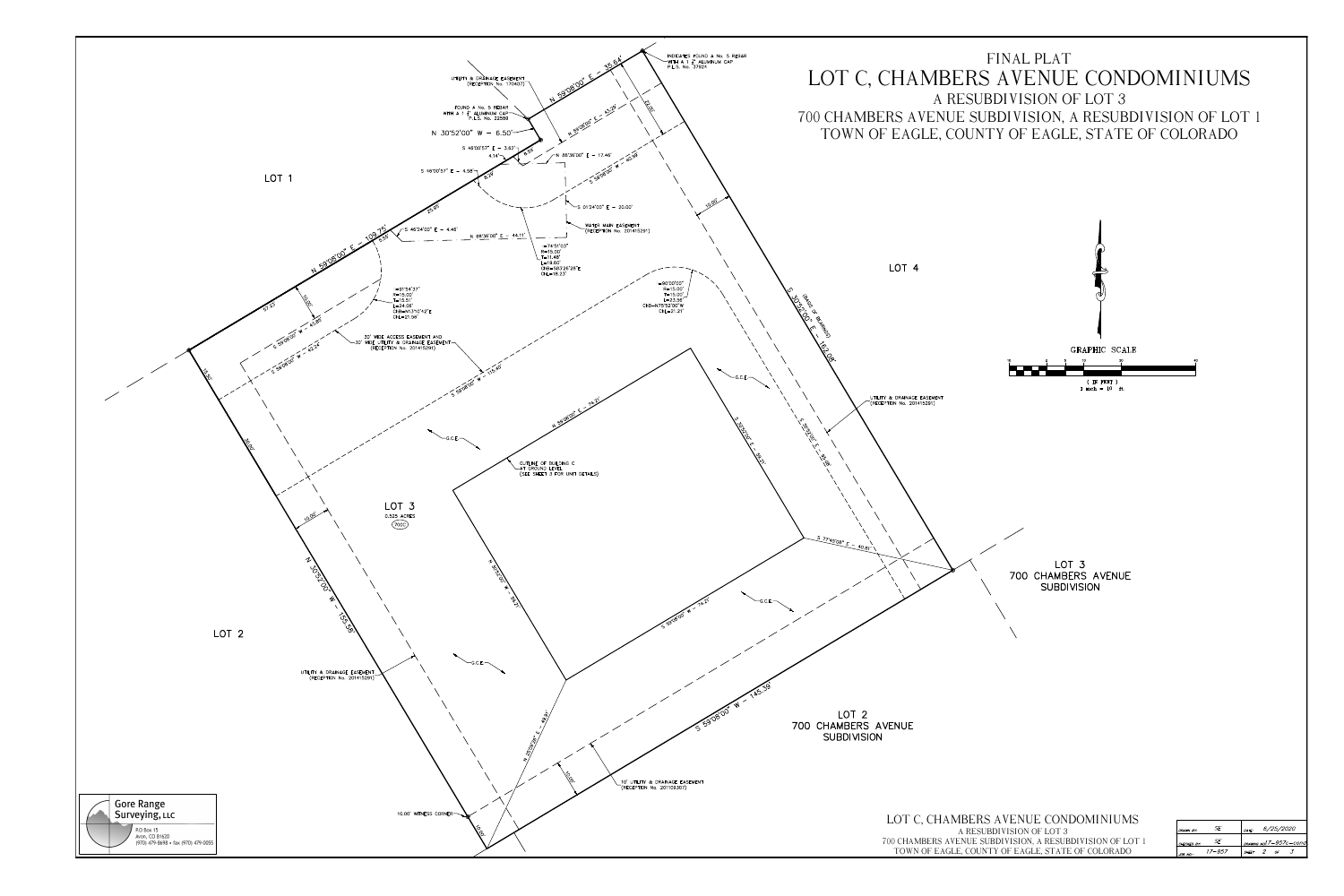



| HAMBERS AVENUE CONDOMINIUMS:                    |
|-------------------------------------------------|
| A RESUBDIVISION OF LOT 3                        |
| RS AVENUE SUBDIVISION, A RESUBDIVISION OF LOT 1 |
| EAGLE, COUNTY OF EAGLE, STATE OF COLORADO       |

| DRAWN BY:   | -SE -  | DATE:        |                | <i>6/25/2020</i> |                          |  |
|-------------|--------|--------------|----------------|------------------|--------------------------|--|
| CHECKED BY: |        |              |                |                  | DRAWING NO.1.7-957c-cond |  |
| JOB NO.:    | 17–957 | <b>SHEFT</b> | $\overline{2}$ | OF               |                          |  |